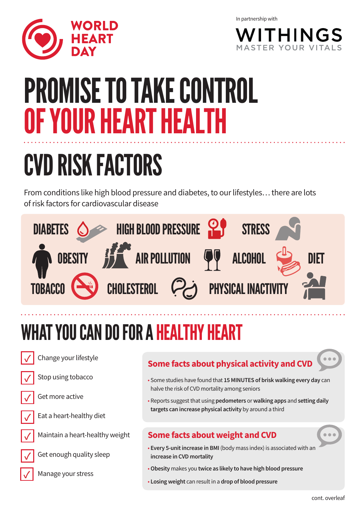

In partnership with



# PROMISE TO TAKE CONTROL OF YOUR HEART HEAL

## CVD RISK FACTORS

From conditions like high blood pressure and diabetes, to our lifestyles… there are lots of risk factors for cardiovascular disease



### WHAT YOU CAN DO FOR A HEALTHY HEART



Change your lifestyle

Stop using tobacco



**✓**

Get more active



**✓**

**✓**

Eat a heart-healthy diet



Get enough quality sleep

Manage your stress

#### **Some facts about physical activity and CVD**



- Some studies have found that **15 MINUTES of brisk walking every day** can halve the risk of CVD mortality among seniors
- Reports suggest that using **pedometers** or **walking apps** and **setting daily targets can increase physical activity** by around a third

#### **Some facts about weight and CVD**

- **Every 5-unit increase in BMI** (body mass index) is associated with an **increase in CVD mortality**
- **Obesity** makes you **twice as likely to have high blood pressure**
- **Losing weight** can result in a **drop of blood pressure**